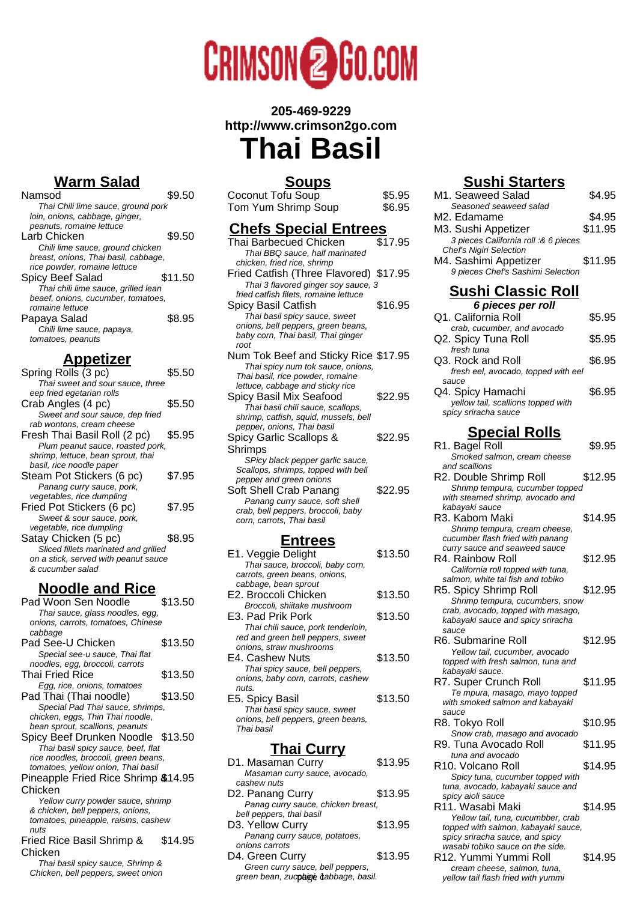

# **205-469-9229 http://www.crimson2go.com**

# **Thai Basil**

# **Warm Salad**

| Namsod                               | \$9.50  |
|--------------------------------------|---------|
| Thai Chili lime sauce, ground pork   |         |
| loin, onions, cabbage, ginger,       |         |
| peanuts, romaine lettuce             |         |
| Larb Chicken                         | \$9.50  |
| Chili lime sauce, ground chicken     |         |
| breast, onions, Thai basil, cabbage, |         |
| rice powder, romaine lettuce         |         |
| Spicy Beef Salad                     | \$11.50 |
| Thai chili lime sauce, grilled lean  |         |
| beaef, onions, cucumber, tomatoes,   |         |
| romaine lettuce                      |         |
| Papaya Salad                         | \$8.95  |
| Chili lime sauce, papaya,            |         |
| tomatoes, peanuts                    |         |
|                                      |         |

### **Appetizer**

| Spring Rolls (3 pc)                  | \$5.50 |
|--------------------------------------|--------|
| Thai sweet and sour sauce, three     |        |
| eep fried egetarian rolls            |        |
| Crab Angles (4 pc)                   | \$5.50 |
| Sweet and sour sauce, dep fried      |        |
| rab wontons, cream cheese            |        |
| Fresh Thai Basil Roll (2 pc)         | \$5.95 |
| Plum peanut sauce, roasted pork,     |        |
| shrimp, lettuce, bean sprout, thai   |        |
| basil, rice noodle paper             |        |
| Steam Pot Stickers (6 pc)            | \$7.95 |
| Panang curry sauce, pork,            |        |
| vegetables, rice dumpling            |        |
| Fried Pot Stickers (6 pc)            | \$7.95 |
| Sweet & sour sauce, pork,            |        |
| vegetable, rice dumpling             |        |
| Satay Chicken (5 pc)                 | \$8.95 |
| Sliced fillets marinated and grilled |        |
| on a stick, served with peanut sauce |        |
| & cucumber salad                     |        |
|                                      |        |

#### **Noodle and Rice**

| Pad Woon Sen Noodle                  | \$13.50 |
|--------------------------------------|---------|
| Thai sauce, glass noodles, egg,      |         |
| onions, carrots, tomatoes, Chinese   |         |
| cabbage                              |         |
| Pad See-U Chicken                    | \$13.50 |
| Special see-u sauce, Thai flat       |         |
| noodles, egg, broccoli, carrots      |         |
| Thai Fried Rice                      | \$13.50 |
| Egg, rice, onions, tomatoes          |         |
| Pad Thai (Thai noodle)               | \$13.50 |
| Special Pad Thai sauce, shrimps,     |         |
| chicken, eggs, Thin Thai noodle,     |         |
| bean sprout, scallions, peanuts      |         |
| Spicy Beef Drunken Noodle \$13.50    |         |
| Thai basil spicy sauce, beef, flat   |         |
| rice noodles, broccoli, green beans, |         |
| tomatoes, yellow onion, Thai basil   |         |
| Pineapple Fried Rice Shrimp \$14.95  |         |
| Chicken                              |         |
| Yellow curry powder sauce, shrimp    |         |
| & chicken, bell peppers, onions,     |         |
| tomatoes, pineapple, raisins, cashew |         |
| nuts                                 |         |
| Fried Rice Basil Shrimp &            | \$14.95 |
| Chicken                              |         |
| Thai basil spicy sauce, Shrimp &     |         |
| Chicken, bell peppers, sweet onion   |         |

# **Soups**

Coconut Tofu Soup<br>
Tom Yum Shrimp Soup \$6.95 Tom Yum Shrimp Soup

#### **Chefs Special Entrees**

| . .                                    |         |
|----------------------------------------|---------|
| Thai Barbecued Chicken                 | \$17.95 |
| Thai BBQ sauce, half marinated         |         |
| chicken, fried rice, shrimp            |         |
| Fried Catfish (Three Flavored) \$17.95 |         |
| Thai 3 flavored ginger soy sauce, 3    |         |
| fried catfish filets, romaine lettuce  |         |
| Spicy Basil Catfish                    | \$16.95 |
| Thai basil spicy sauce, sweet          |         |
| onions, bell peppers, green beans,     |         |
| baby corn, Thai basil, Thai ginger     |         |
| root                                   |         |
| Num Tok Beef and Sticky Rice \$17.95   |         |
| Thai spicy num tok sauce, onions,      |         |
| Thai basil, rice powder, romaine       |         |
| lettuce, cabbage and sticky rice       |         |
| Spicy Basil Mix Seafood                | \$22.95 |
| Thai basil chili sauce, scallops,      |         |
| shrimp, catfish, squid, mussels, bell  |         |
| pepper, onions, Thai basil             |         |
| Spicy Garlic Scallops &                | \$22.95 |
| Shrimps                                |         |
| SPicy black pepper garlic sauce,       |         |
| Scallops, shrimps, topped with bell    |         |
| pepper and green onions                |         |
| Soft Shell Crab Panang                 | \$22.95 |
| Panang curry sauce, soft shell         |         |
| crab, bell peppers, broccoli, baby     |         |
| corn, carrots, Thai basil              |         |
|                                        |         |
| <u>Entrees</u>                         |         |
| E1. Veggie Delight                     | \$13.50 |
| Thai sauce, broccoli, baby corn,       |         |
| carrots, green beans, onions,          |         |
| cabbage, bean sprout                   |         |
| E2. Broccoli Chicken                   | \$13.50 |

- E2. Broccoli Chicken \$13.50 Broccoli, shiitake mushroom E3. Pad Prik Pork \$13.50 Thai chili sauce, pork tenderloin, red and green bell peppers, sweet onions, straw mushrooms E4. Cashew Nuts \$13.50 Thai spicy sauce, bell peppers, onions, baby corn, carrots, cashew
- nuts. E5. Spicy Basil \$13.50 Thai basil spicy sauce, sweet onions, bell peppers, green beans, Thai basil

#### **Thai Curry**

| D1. Masaman Curry                    | \$13.95 |
|--------------------------------------|---------|
| Masaman curry sauce, avocado,        |         |
| cashew nuts                          |         |
| D2. Panang Curry                     | \$13.95 |
| Panag curry sauce, chicken breast,   |         |
| bell peppers, thai basil             |         |
| D3. Yellow Curry                     | \$13.95 |
| Panang curry sauce, potatoes,        |         |
| onions carrots                       |         |
| D4. Green Curry                      | \$13.95 |
| Green curry sauce, bell peppers,     |         |
| green bean, zucphine tabbage, basil. |         |
|                                      |         |

# **Sushi Starters**

| <u> Əusni Əlarlers</u>                                                  |         |
|-------------------------------------------------------------------------|---------|
| M1. Seaweed Salad                                                       | \$4.95  |
| Seasoned seaweed salad<br>M2. Edamame                                   | \$4.95  |
| M3. Sushi Appetizer                                                     | \$11.95 |
| 3 pieces California roll :& 6 pieces                                    |         |
| <b>Chef's Nigiri Selection</b>                                          |         |
| M4. Sashimi Appetizer                                                   | \$11.95 |
| 9 pieces Chef's Sashimi Selection                                       |         |
| <u>Sushi Classic Roll</u>                                               |         |
| 6 pieces per roll                                                       |         |
| Q1. California Roll                                                     | \$5.95  |
| crab, cucumber, and avocado                                             |         |
| Q2. Spicy Tuna Roll                                                     | \$5.95  |
| fresh tuna<br>Q3. Rock and Roll                                         | \$6.95  |
| fresh eel, avocado, topped with eel                                     |         |
| sauce                                                                   |         |
| Q4. Spicy Hamachi                                                       | \$6.95  |
| yellow tail, scallions topped with<br>spicy sriracha sauce              |         |
|                                                                         |         |
| <u>Special Rolls</u>                                                    |         |
| R1. Bagel Roll                                                          | \$9.95  |
| Smoked salmon, cream cheese                                             |         |
| and scallions<br>R2. Double Shrimp Roll                                 | \$12.95 |
| Shrimp tempura, cucumber topped                                         |         |
| with steamed shrimp, avocado and                                        |         |
| kabayaki sauce                                                          |         |
| R3. Kabom Maki<br>Shrimp tempura, cream cheese,                         | \$14.95 |
| cucumber flash fried with panang                                        |         |
| curry sauce and seaweed sauce                                           |         |
| R4. Rainbow Roll                                                        | \$12.95 |
| California roll topped with tuna,<br>salmon, white tai fish and tobiko  |         |
| R5. Spicy Shrimp Roll                                                   | \$12.95 |
| Shrimp tempura, cucumbers, snow                                         |         |
| crab, avocado, topped with masago,<br>kabayaki sauce and spicy sriracha |         |
| sauce                                                                   |         |
| R6. Submarine Roll                                                      | \$12.95 |
| Yellow tail, cucumber, avocado<br>topped with fresh salmon, tuna and    |         |
| kabayaki sauce.                                                         |         |
| R7. Super Crunch Roll                                                   | \$11.95 |
| Te mpura, masago, mayo topped<br>with smoked salmon and kabayaki        |         |
| sauce                                                                   |         |
| R8. Tokyo Roll                                                          | \$10.95 |
| Snow crab, masago and avocado<br>R9. Tuna Avocado Roll                  | \$11.95 |
| tuna and avocado                                                        |         |
| R <sub>10</sub> . Volcano Roll                                          | \$14.95 |
| Spicy tuna, cucumber topped with                                        |         |
| tuna, avocado, kabayaki sauce and<br>spicy aioli sauce                  |         |
| R11. Wasabi Maki                                                        | \$14.95 |
| Yellow tail, tuna, cucumbber, crab                                      |         |
| topped with salmon, kabayaki sauce,<br>spicy sriracha sauce, and spicy  |         |
| wasabi tobiko sauce on the side.                                        |         |
| R12. Yummi Yummi Roll                                                   | \$14.95 |
| cream cheese, salmon, tuna,                                             |         |
| yellow tail flash fried with yummi                                      |         |